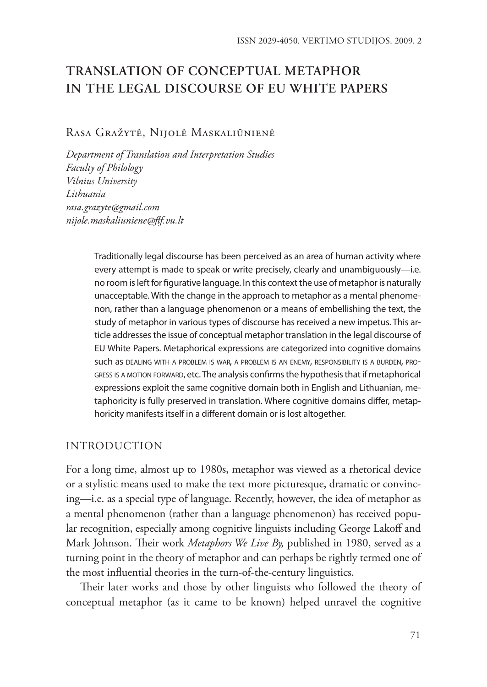# **TRANSLATION OF CONCEPTUAL METAPHOR IN THE LEGAL DISCOURSE OF EU WHITE PAPERS**

### Rasa Gražytė, Nijolė Maskaliūnienė

*Department of Translation and Interpretation Studies Faculty of Philology Vilnius University Lithuania rasa.grazyte@gmail.com nijole.maskaliuniene@flf.vu.lt*

> Traditionally legal discourse has been perceived as an area of human activity where every attempt is made to speak or write precisely, clearly and unambiguously—i.e. no room is left for figurative language. In this context the use of metaphor is naturally unacceptable. With the change in the approach to metaphor as a mental phenomenon, rather than a language phenomenon or a means of embellishing the text, the study of metaphor in various types of discourse has received a new impetus. This article addresses the issue of conceptual metaphor translation in the legal discourse of EU White Papers. Metaphorical expressions are categorized into cognitive domains such as dealing with <sup>a</sup> problem is war, <sup>a</sup> problem is an enemy, responsibility is <sup>a</sup> burden, progress is a motion forward, etc. The analysis confirms the hypothesis that if metaphorical expressions exploit the same cognitive domain both in English and Lithuanian, metaphoricity is fully preserved in translation. Where cognitive domains differ, metaphoricity manifests itself in a different domain or is lost altogether.

## **INTRODUCTION**

For a long time, almost up to 1980s, metaphor was viewed as a rhetorical device or a stylistic means used to make the text more picturesque, dramatic or convincing—i.e. as a special type of language. Recently, however, the idea of metaphor as a mental phenomenon (rather than a language phenomenon) has received popular recognition, especially among cognitive linguists including George Lakoff and Mark Johnson. Their work *Metaphors We Live By,* published in 1980, served as a turning point in the theory of metaphor and can perhaps be rightly termed one of the most influential theories in the turn-of-the-century linguistics.

Their later works and those by other linguists who followed the theory of conceptual metaphor (as it came to be known) helped unravel the cognitive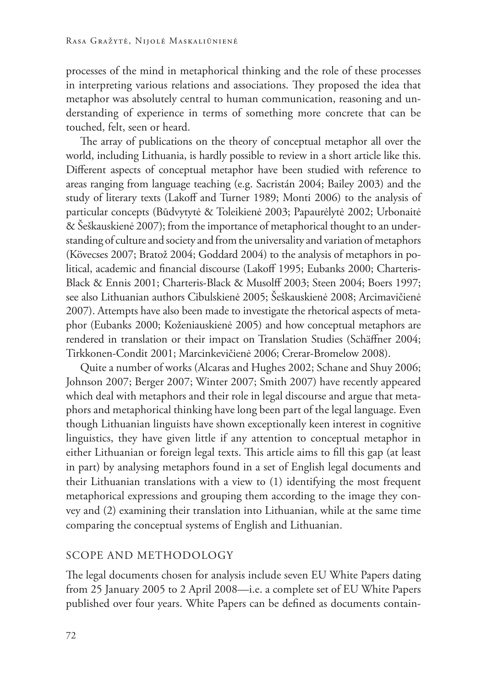processes of the mind in metaphorical thinking and the role of these processes in interpreting various relations and associations. They proposed the idea that metaphor was absolutely central to human communication, reasoning and understanding of experience in terms of something more concrete that can be touched, felt, seen or heard.

The array of publications on the theory of conceptual metaphor all over the world, including Lithuania, is hardly possible to review in a short article like this. Different aspects of conceptual metaphor have been studied with reference to areas ranging from language teaching (e.g. Sacristán 2004; Bailey 2003) and the study of literary texts (Lakoff and Turner 1989; Monti 2006) to the analysis of particular concepts (Būdvytytė & Toleikienė 2003; Papaurėlytė 2002; Urbonaitė & Šeškauskienė 2007); from the importance of metaphorical thought to an understanding of culture and society and from the universality and variation of metaphors (Kövecses 2007; Bratož 2004; Goddard 2004) to the analysis of metaphors in political, academic and financial discourse (Lakoff 1995; Eubanks 2000; Charteris-Black & Ennis 2001; Charteris-Black & Musolff 2003; Steen 2004; Boers 1997; see also Lithuanian authors Cibulskienė 2005; Šeškauskienė 2008; Arcimavičienė 2007). Attempts have also been made to investigate the rhetorical aspects of metaphor (Eubanks 2000; Koženiauskienė 2005) and how conceptual metaphors are rendered in translation or their impact on Translation Studies (Schäffner 2004; Tirkkonen-Condit 2001; Marcinkevičienė 2006; Crerar-Bromelow 2008).

Quite a number of works (Alcaras and Hughes 2002; Schane and Shuy 2006; Johnson 2007; Berger 2007; Winter 2007; Smith 2007) have recently appeared which deal with metaphors and their role in legal discourse and argue that metaphors and metaphorical thinking have long been part of the legal language. Even though Lithuanian linguists have shown exceptionally keen interest in cognitive linguistics, they have given little if any attention to conceptual metaphor in either Lithuanian or foreign legal texts. This article aims to fill this gap (at least in part) by analysing metaphors found in a set of English legal documents and their Lithuanian translations with a view to (1) identifying the most frequent metaphorical expressions and grouping them according to the image they convey and (2) examining their translation into Lithuanian, while at the same time comparing the conceptual systems of English and Lithuanian.

## Scope and methodology

The legal documents chosen for analysis include seven EU White Papers dating from 25 January 2005 to 2 April 2008—i.e. a complete set of EU White Papers published over four years. White Papers can be defined as documents contain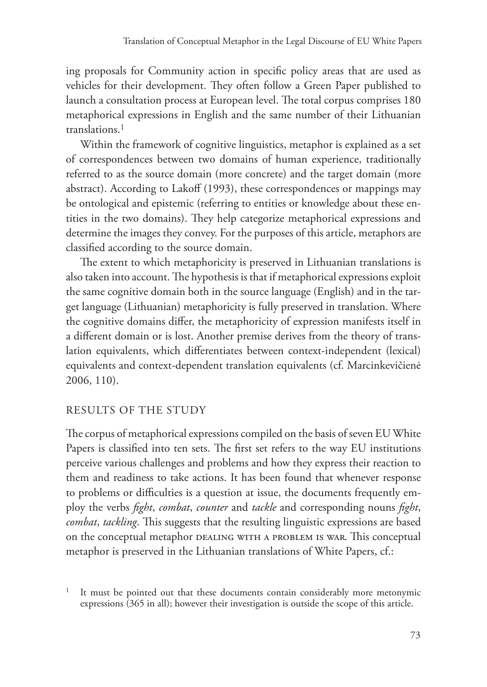ing proposals for Community action in specific policy areas that are used as vehicles for their development. They often follow a Green Paper published to launch a consultation process at European level. The total corpus comprises 180 metaphorical expressions in English and the same number of their Lithuanian translations.1

Within the framework of cognitive linguistics, metaphor is explained as a set of correspondences between two domains of human experience, traditionally referred to as the source domain (more concrete) and the target domain (more abstract). According to Lakoff (1993), these correspondences or mappings may be ontological and epistemic (referring to entities or knowledge about these entities in the two domains). They help categorize metaphorical expressions and determine the images they convey. For the purposes of this article, metaphors are classified according to the source domain.

The extent to which metaphoricity is preserved in Lithuanian translations is also taken into account. The hypothesis is that if metaphorical expressions exploit the same cognitive domain both in the source language (English) and in the target language (Lithuanian) metaphoricity is fully preserved in translation. Where the cognitive domains differ, the metaphoricity of expression manifests itself in a different domain or is lost. Another premise derives from the theory of translation equivalents, which differentiates between context-independent (lexical) equivalents and context-dependent translation equivalents (cf. Marcinkevičienė 2006, 110).

## Results of the study

The corpus of metaphorical expressions compiled on the basis of seven EU White Papers is classified into ten sets. The first set refers to the way EU institutions perceive various challenges and problems and how they express their reaction to them and readiness to take actions. It has been found that whenever response to problems or difficulties is a question at issue, the documents frequently employ the verbs *fight*, *combat*, *counter* and *tackle* and corresponding nouns *fight*, *combat*, *tackling*. This suggests that the resulting linguistic expressions are based on the conceptual metaphor DEALING WITH A PROBLEM IS WAR. This conceptual metaphor is preserved in the Lithuanian translations of White Papers, cf.:

<sup>1</sup> It must be pointed out that these documents contain considerably more metonymic expressions (365 in all); however their investigation is outside the scope of this article.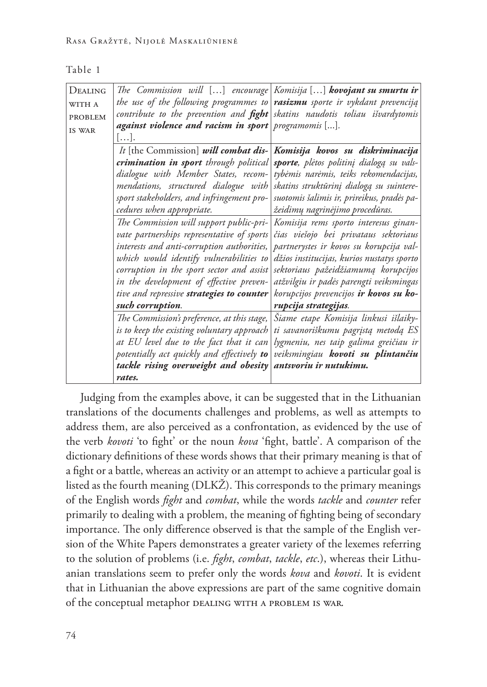| I<br>- 1 | ×<br>- 1<br>i | ×<br>۹ |  |
|----------|---------------|--------|--|
|          |               |        |  |

| The Commission will [] encourage Komisija [] <b>kovojant su smurtu ir</b>          |                                            |
|------------------------------------------------------------------------------------|--------------------------------------------|
| the use of the following programmes to rasizmu sporte ir vykdant prevenciją        |                                            |
| contribute to the prevention and <b>fight</b> skatins naudotis toliau išvardytomis |                                            |
| against violence and racism in sport programomis [].                               |                                            |
| [].                                                                                |                                            |
| It [the Commission] will combat dis-                                               | Komisija kovos su diskriminacija           |
| crimination in sport through political                                             | sporte, plėtos politinį dialogą su vals-   |
| dialogue with Member States, recom-                                                | tybėmis narėmis, teiks rekomendacijas,     |
| mendations, structured dialogue with                                               | skatins struktūrinį dialogą su suintere-   |
| sport stakeholders, and infringement pro-                                          | suotomis šalimis ir, prireikus, pradės pa- |
| cedures when appropriate.                                                          | žeidimų nagrinėjimo procedūras.            |
| The Commission will support public-pri-                                            | Komisija rems sporto interesus ginan-      |
| vate partnerships representative of sports                                         | čias viešojo bei privataus sektoriaus      |
| interests and anti-corruption authorities,                                         | partnerystes ir kovos su korupcija val-    |
| which would identify vulnerabilities to                                            | džios institucijas, kurios nustatys sporto |
| corruption in the sport sector and assist                                          | sektoriaus pažeidžiamumą korupcijos        |
| in the development of effective preven-                                            | atžvilgiu ir padės parengti veiksmingas    |
| tive and repressive strategies to counter                                          | korupcijos prevencijos ir kovos su ko-     |
| such corruption.                                                                   | rupcija strategijas.                       |
| The Commission's preference, at this stage,                                        | Šiame etape Komisija linkusi išlaiky-      |
| is to keep the existing voluntary approach                                         | ti savanoriškumu pagrįstą metodą ES        |
| at EU level due to the fact that it can                                            | lygmeniu, nes taip galima greičiau ir      |
| potentially act quickly and effectively to                                         | veiksmingiau kovoti su plintančiu          |
| tackle rising overweight and obesity                                               | antsvoriu ir nutukimu.                     |
| rates.                                                                             |                                            |
|                                                                                    |                                            |

Judging from the examples above, it can be suggested that in the Lithuanian translations of the documents challenges and problems, as well as attempts to address them, are also perceived as a confrontation, as evidenced by the use of the verb *kovoti* 'to fight' or the noun *kova* 'fight, battle'. A comparison of the dictionary definitions of these words shows that their primary meaning is that of a fight or a battle, whereas an activity or an attempt to achieve a particular goal is listed as the fourth meaning (DLKŽ). This corresponds to the primary meanings of the English words *fight* and *combat*, while the words *tackle* and *counter* refer primarily to dealing with a problem, the meaning of fighting being of secondary importance. The only difference observed is that the sample of the English version of the White Papers demonstrates a greater variety of the lexemes referring to the solution of problems (i.e. *fight*, *combat*, *tackle*, *etc*.), whereas their Lithuanian translations seem to prefer only the words *kova* and *kovoti*. It is evident that in Lithuanian the above expressions are part of the same cognitive domain of the conceptual metaphor DEALING WITH A PROBLEM IS WAR.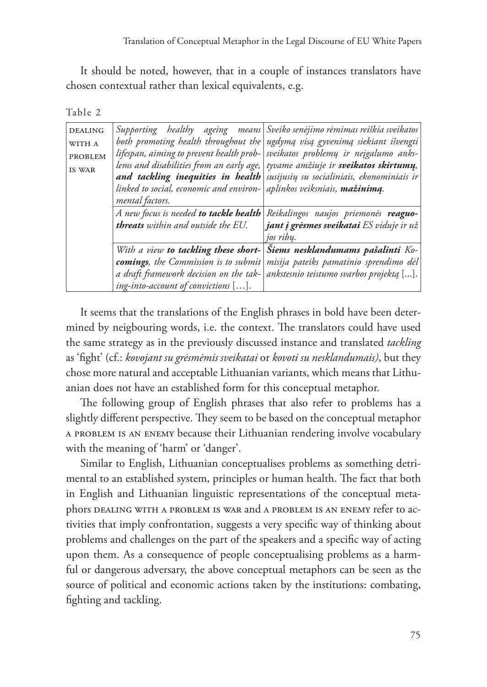It should be noted, however, that in a couple of instances translators have chosen contextual rather than lexical equivalents, e.g.

| t. |  |  |
|----|--|--|
|----|--|--|

| <b>DEALING</b> | healthy ageing means<br>Supporting            | Sveiko senėjimo rėmimas reiškia sveikatos  |
|----------------|-----------------------------------------------|--------------------------------------------|
| WITH A         | both promoting health throughout the          | ugdymą visą gyvenimą siekiant išvengti     |
| <b>PROBLEM</b> | lifespan, aiming to prevent health prob-      | sveikatos problemų ir neįgalumo anks-      |
| IS WAR         | lems and disabilities from an early age,      | tyvame amžiuje ir sveikatos skirtumų,      |
|                | and tackling inequities in health             | susijusių su socialiniais, ekonominiais ir |
|                | linked to social, economic and environ-       | aplinkos veiksniais, mažinimą.             |
|                | mental factors.                               |                                            |
|                | A new focus is needed <b>to tackle health</b> | Reikalingos naujos priemonės reaguo-       |
|                | threats within and outside the EU.            | jant į grėsmes sveikatai ES viduje ir už   |
|                |                                               | jos ribu.                                  |
|                | With a view to tackling these short-          | Šiems nesklandumams pašalinti Ko-          |
|                | <b>comings</b> , the Commission is to submit  | misija pateiks pamatinio sprendimo dėl     |
|                | a draft framework decision on the tak-        | ankstesnio teistumo svarbos projektą [].   |
|                | ing-into-account of convictions [].           |                                            |

It seems that the translations of the English phrases in bold have been determined by neigbouring words, i.e. the context. The translators could have used the same strategy as in the previously discussed instance and translated *tackling* as 'fight' (cf.: *kovojant su grėsmėmis sveikatai* or *kovoti su nesklandumais)*, but they chose more natural and acceptable Lithuanian variants, which means that Lithuanian does not have an established form for this conceptual metaphor.

The following group of English phrases that also refer to problems has a slightly different perspective. They seem to be based on the conceptual metaphor a problem is an enemy because their Lithuanian rendering involve vocabulary with the meaning of 'harm' or 'danger'.

Similar to English, Lithuanian conceptualises problems as something detrimental to an established system, principles or human health. The fact that both in English and Lithuanian linguistic representations of the conceptual metaphors dealing with a problem is war and a problem is an enemy refer to activities that imply confrontation, suggests a very specific way of thinking about problems and challenges on the part of the speakers and a specific way of acting upon them. As a consequence of people conceptualising problems as a harmful or dangerous adversary, the above conceptual metaphors can be seen as the source of political and economic actions taken by the institutions: combating, fighting and tackling.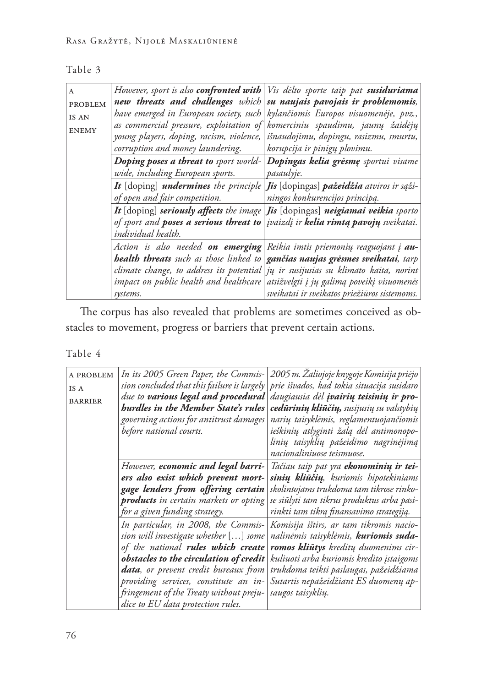| .,<br>э<br>t. |  |
|---------------|--|
|---------------|--|

| $\mathsf{A}$<br><b>PROBLEM</b><br>IS AN<br><b>ENEMY</b> |                                  | However, sport is also <b>confronted with</b> $\forall$ is delto sporte taip pat <b>susiduriama</b><br>new threats and challenges which $ su$ naujais pavojais ir problemomis,<br>have emerged in European society, such kylančiomis Europos visuomenėje, pvz.,<br>as commercial pressure, exploitation of komerciniu spaudimu, jaunų žaidėjų |
|---------------------------------------------------------|----------------------------------|-----------------------------------------------------------------------------------------------------------------------------------------------------------------------------------------------------------------------------------------------------------------------------------------------------------------------------------------------|
|                                                         | corruption and money laundering. | young players, doping, racism, violence,   išnaudojimu, dopingu, rasizmu, smurtu,<br>korupcija ir pinigų plovimu.                                                                                                                                                                                                                             |
|                                                         | wide, including European sports. | Doping poses a threat to sport world- Dopingas kelia gresme sportui visame<br>pasaulyje.                                                                                                                                                                                                                                                      |
|                                                         | of open and fair competition.    | It [doping] undermines the principle <i>Jis</i> [dopingas] pažeidžia atviros ir sąži-<br>ningos konkurencijos principą.                                                                                                                                                                                                                       |
|                                                         | individual health.               | It $[{\text{doping}}]$ seriously affects the image <i>Jis</i> $[{\text{doping}}]$ neigiamai veikia sporto<br>of sport and <b>poses a serious threat to</b> <i>jvaizdj</i> ir <b>kelia rimtą pavojų</b> sveikatai.                                                                                                                             |
|                                                         |                                  | Action is also needed <b>on emerging</b> Reikia imtis priemonių reaguojant į <b>au-</b><br><b>health threats</b> such as those linked to <b>gančias naujas grėsmes sveikatai</b> , tarp                                                                                                                                                       |
|                                                         | systems.                         | climate change, to address its potential jų ir susijusias su klimato kaita, norint<br>impact on public health and healthcare atsižvelgti į jų galimą poveikį visuomenės<br>sveikatai ir sveikatos priežiūros sistemoms.                                                                                                                       |

The corpus has also revealed that problems are sometimes conceived as obstacles to movement, progress or barriers that prevent certain actions.

Table 4

| A PROBLEM<br>IS A<br><b>BARRIER</b> | due to various legal and procedural<br><b>hurdles in the Member State's rules</b><br>governing actions for antitrust damages<br>before national courts.                                                                                                                                                                       | In its 2005 Green Paper, the Commis- 2005 m. Žaliojoje knygoje Komisija priėjo<br>sion concluded that this failure is largely   prie išvados, kad tokia situacija susidaro<br>daugiausia dėl įvairių teisinių ir pro-<br>cedūrinių kliūčių, susijusių su valstybių<br>narių taisyklėmis, reglamentuojančiomis<br>ieškinių atlyginti žalą dėl antimonopo-<br>linių taisyklių pažeidimo nagrinėjimą |
|-------------------------------------|-------------------------------------------------------------------------------------------------------------------------------------------------------------------------------------------------------------------------------------------------------------------------------------------------------------------------------|---------------------------------------------------------------------------------------------------------------------------------------------------------------------------------------------------------------------------------------------------------------------------------------------------------------------------------------------------------------------------------------------------|
|                                     | However, economic and legal barri-<br>ers also exist which prevent mort-<br>gage lenders from offering certain<br><b>products</b> in certain markets or opting<br>for a given funding strategy.                                                                                                                               | nacionaliniuose teismuose.<br>Tačiau taip pat yra <b>ekonominių ir tei-</b><br>sinių kliūčių, kuriomis hipotekiniams<br>skolintojams trukdoma tam tikrose rinko-<br>se siūlyti tam tikrus produktus arba pasi-<br>rinkti tam tikrą finansavimo strategiją.                                                                                                                                        |
|                                     | In particular, in 2008, the Commis-<br>sion will investigate whether [] some<br>of the national rules which create<br>obstacles to the circulation of credit<br>data, or prevent credit bureaux from<br>providing services, constitute an in-<br>fringement of the Treaty without preju-<br>dice to EU data protection rules. | Komisija ištirs, ar tam tikromis nacio-<br>nalinėmis taisyklėmis, kuriomis suda-<br>romos kliūtys kreditų duomenims cir-<br>kuliuoti arba kuriomis kredito įstaigoms<br>trukdoma teikti paslaugas, pažeidžiama<br>Sutartis nepažeidžiant ES duomenų ap-<br>saugos taisyklių.                                                                                                                      |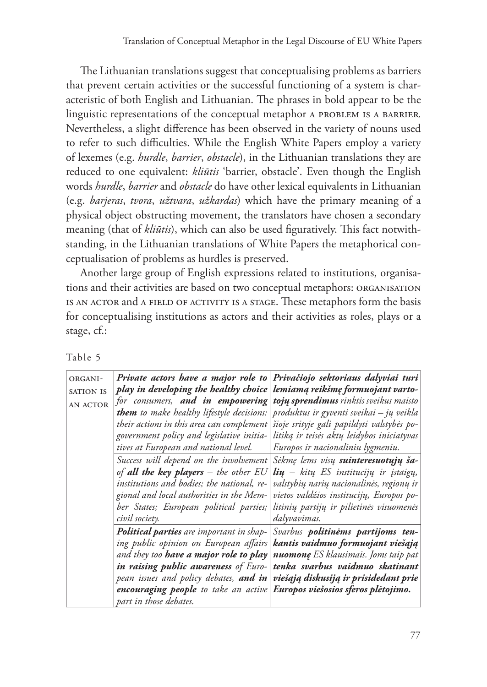The Lithuanian translations suggest that conceptualising problems as barriers that prevent certain activities or the successful functioning of a system is characteristic of both English and Lithuanian. The phrases in bold appear to be the linguistic representations of the conceptual metaphor A PROBLEM IS A BARRIER. Nevertheless, a slight difference has been observed in the variety of nouns used to refer to such difficulties. While the English White Papers employ a variety of lexemes (e.g. *hurdle*, *barrier*, *obstacle*), in the Lithuanian translations they are reduced to one equivalent: *kliūtis* 'barrier, obstacle'. Even though the English words *hurdle*, *barrier* and *obstacle* do have other lexical equivalents in Lithuanian (e.g. *barjeras*, *tvora*, *užtvara*, *užkardas*) which have the primary meaning of a physical object obstructing movement, the translators have chosen a secondary meaning (that of *kliūtis*), which can also be used figuratively. This fact notwithstanding, in the Lithuanian translations of White Papers the metaphorical conceptualisation of problems as hurdles is preserved.

Another large group of English expressions related to institutions, organisations and their activities are based on two conceptual metaphors: organisation is an actor and a field of activity is a stage. These metaphors form the basis for conceptualising institutions as actors and their activities as roles, plays or a stage, cf.:

| ORGANI-          | Private actors have a major role to Privačiojo sektoriaus dalyviai turi             |                                               |
|------------------|-------------------------------------------------------------------------------------|-----------------------------------------------|
| <b>SATION IS</b> | play in developing the healthy choice                                               | lemiamą reikšmę formuojant varto-             |
| <b>AN ACTOR</b>  | for consumers, and in empowering                                                    | <b>tojų sprendimus</b> rinktis sveikus maisto |
|                  | <b>them</b> to make healthy lifestyle decisions:                                    | produktus ir gyventi sveikai – jų veikla      |
|                  | their actions in this area can complement                                           | šioje srityje gali papildyti valstybės po-    |
|                  | government policy and legislative initia-                                           | litiką ir teisės aktų leidybos iniciatyvas    |
|                  | tives at European and national level.                                               | Europos ir nacionaliniu lygmeniu.             |
|                  | Success will depend on the involvement                                              | Sėkmę lems visų suinteresuotųjų ša-           |
|                  | of <b>all the key players</b> – the other $EU$                                      | <b>lių</b> – kitų ES institucijų ir įstaigų,  |
|                  | institutions and bodies; the national, re-                                          | valstybių narių nacionalinės, regionų ir      |
|                  | gional and local authorities in the Mem-                                            | vietos valdžios institucijų, Europos po-      |
|                  | ber States; European political parties;                                             | litinių partijų ir pilietinės visuomenės      |
|                  | civil society.                                                                      | dalyvavimas.                                  |
|                  | <b>Political parties</b> are important in shap-                                     | Svarbus <b>politinėms partijoms ten-</b>      |
|                  | ing public opinion on European affairs                                              | kantis vaidmuo formuojant viešąją             |
|                  | and they too <b>have a major role to play</b>                                       | <b>nuomonę</b> ES klausimais. Joms taip pat   |
|                  | <b>in raising public awareness</b> of Euro-                                         | tenka svarbus vaidmuo skatinant               |
|                  | pean issues and policy debates, <b>and in</b>                                       | viešąją diskusiją ir prisidedant prie         |
|                  | encouraging people to take an active $\mathbf E$ uropos viešosios sferos plėtojimo. |                                               |
|                  | part in those debates.                                                              |                                               |

Table 5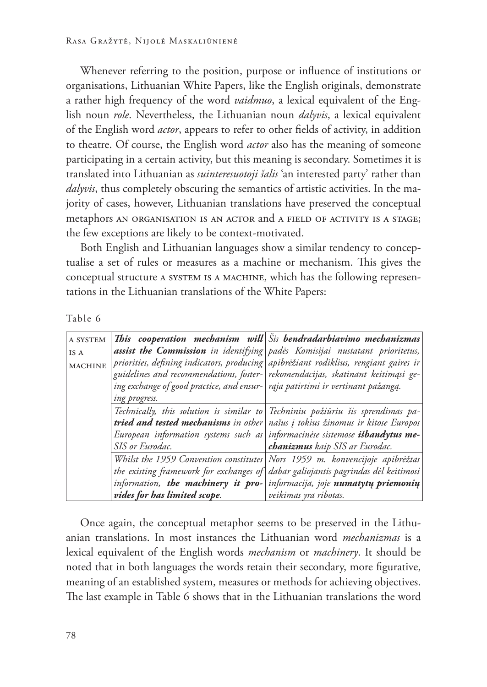Whenever referring to the position, purpose or influence of institutions or organisations, Lithuanian White Papers, like the English originals, demonstrate a rather high frequency of the word *vaidmuo*, a lexical equivalent of the English noun *role*. Nevertheless, the Lithuanian noun *dalyvis*, a lexical equivalent of the English word *actor*, appears to refer to other fields of activity, in addition to theatre. Of course, the English word *actor* also has the meaning of someone participating in a certain activity, but this meaning is secondary. Sometimes it is translated into Lithuanian as *suinteresuotoji šalis* 'an interested party' rather than *dalyvis*, thus completely obscuring the semantics of artistic activities. In the majority of cases, however, Lithuanian translations have preserved the conceptual metaphors an organisation is an actor and a field of activity is a stage; the few exceptions are likely to be context-motivated.

Both English and Lithuanian languages show a similar tendency to conceptualise a set of rules or measures as a machine or mechanism. This gives the conceptual structure a system is a machine, which has the following representations in the Lithuanian translations of the White Papers:

| ant | г |
|-----|---|
|-----|---|

| A SYSTEM       |                                                                                  | This cooperation mechanism will $\delta$ is bendradarbiavimo mechanizmas                                                                                                |
|----------------|----------------------------------------------------------------------------------|-------------------------------------------------------------------------------------------------------------------------------------------------------------------------|
| IS A           |                                                                                  | assist the Commission in identifying pades Komisijai nustatant prioritetus,                                                                                             |
| <b>MACHINE</b> |                                                                                  | priorities, defining indicators, producing apibrėžiant rodiklius, rengiant gaires ir<br>guidelines and recommendations, foster- rekomendacijas, skatinant keitimąsi ge- |
|                | ing exchange of good practice, and ensur-   raja patirtimi ir vertinant pažangą. |                                                                                                                                                                         |
|                | ing progress.                                                                    |                                                                                                                                                                         |
|                |                                                                                  | Technically, this solution is similar to Techniniu požiūriu šis sprendimas pa-                                                                                          |
|                |                                                                                  | tried and tested mechanisms in other našus į tokius žinomus ir kitose Europos                                                                                           |
|                |                                                                                  | European information systems such as informacinese sistemose <i>išbandytus</i> me-                                                                                      |
|                | SIS or Eurodac.                                                                  | chanizmus kaip SIS ar Eurodac.                                                                                                                                          |
|                |                                                                                  | Whilst the 1959 Convention constitutes Nors 1959 m. konvencijoje apibrėžtas                                                                                             |
|                |                                                                                  | the existing framework for exchanges of dabar galiojantis pagrindas dėl keitimosi                                                                                       |
|                | information, the machinery it pro-                                               | informacija, joje numatytų priemonių                                                                                                                                    |
|                | vides for has limited scope.                                                     | veikimas yra ribotas.                                                                                                                                                   |

Once again, the conceptual metaphor seems to be preserved in the Lithuanian translations. In most instances the Lithuanian word *mechanizmas* is a lexical equivalent of the English words *mechanism* or *machinery*. It should be noted that in both languages the words retain their secondary, more figurative, meaning of an established system, measures or methods for achieving objectives. The last example in Table 6 shows that in the Lithuanian translations the word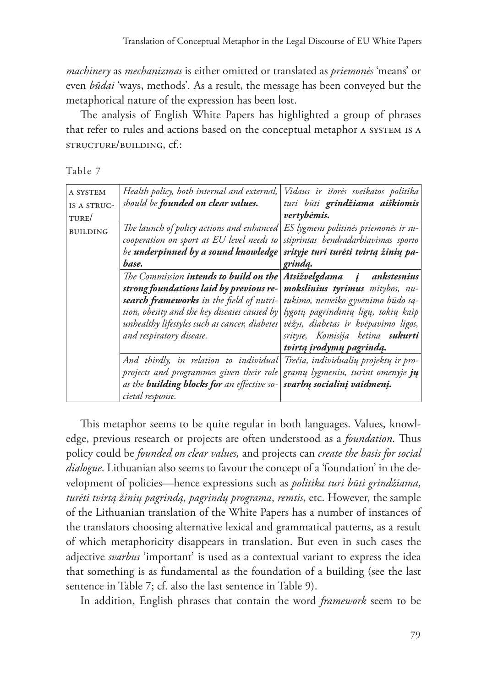*machinery* as *mechanizmas* is either omitted or translated as *priemonės* 'means' or even *būdai* 'ways, methods'*.* As a result, the message has been conveyed but the metaphorical nature of the expression has been lost.

The analysis of English White Papers has highlighted a group of phrases that refer to rules and actions based on the conceptual metaphor a system is a structure/building, cf.:

Table 7

| A SYSTEM<br>IS A STRUC-<br>TURE/ | Health policy, both internal and external,<br>should be <b>founded on clear values.</b>                                                                                                                                                                           | Vidaus ir išorės sveikatos politika<br>turi būti grindžiama aiškiomis<br>vertybėmis.                                                                                                                                                               |
|----------------------------------|-------------------------------------------------------------------------------------------------------------------------------------------------------------------------------------------------------------------------------------------------------------------|----------------------------------------------------------------------------------------------------------------------------------------------------------------------------------------------------------------------------------------------------|
| <b>BUILDING</b>                  | The launch of policy actions and enhanced ES lygmens politines priemones ir su-<br>cooperation on sport at EU level needs to<br>be underpinned by a sound knowledge<br>base.                                                                                      | stiprintas bendradarbiavimas sporto<br>srityje turi turėti tvirtą žinių pa-<br>grinda.                                                                                                                                                             |
|                                  | The Commission <b>intends to build on the</b><br>strong foundations laid by previous re-<br>search frameworks in the field of nutri-<br>tion, obesity and the key diseases caused by<br>unhealthy lifestyles such as cancer, diabetes<br>and respiratory disease. | Atsižvelgdama į ankstesnius<br>mokslinius tyrimus mitybos, nu-<br>tukimo, nesveiko gyvenimo būdo są-<br>lygotų pagrindinių ligų, tokių kaip<br>vėžys, diabetas ir kvėpavimo ligos,<br>srityse, Komisija ketina sukurti<br>tvirtą įrodymų pagrindą. |
|                                  | And thirdly, in relation to individual<br>projects and programmes given their role<br>as the <b>building blocks for</b> an effective so-<br>cietal response.                                                                                                      | Trečia, individualių projektų ir pro-<br>gramų lygmeniu, turint omenyje jų<br>svarbų socialinį vaidmenį.                                                                                                                                           |

This metaphor seems to be quite regular in both languages. Values, knowledge, previous research or projects are often understood as a *foundation*. Thus policy could be *founded on clear values,* and projects can *create the basis for social dialogue*. Lithuanian also seems to favour the concept of a 'foundation' in the development of policies—hence expressions such as *politika turi būti grindžiama*, *turėti tvirtą žinių pagrindą*, *pagrindų programa*, *remtis*, etc. However, the sample of the Lithuanian translation of the White Papers has a number of instances of the translators choosing alternative lexical and grammatical patterns, as a result of which metaphoricity disappears in translation. But even in such cases the adjective *svarbus* 'important' is used as a contextual variant to express the idea that something is as fundamental as the foundation of a building (see the last sentence in Table 7; cf. also the last sentence in Table 9).

In addition, English phrases that contain the word *framework* seem to be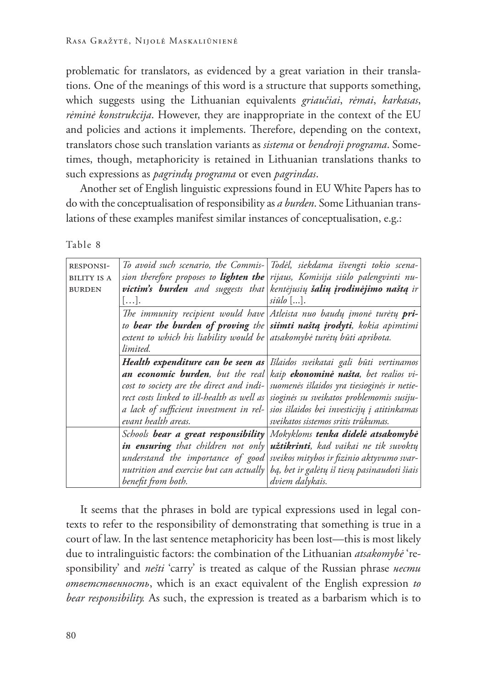problematic for translators, as evidenced by a great variation in their translations. One of the meanings of this word is a structure that supports something, which suggests using the Lithuanian equivalents *griaučiai*, *rėmai*, *karkasas*, *rėminė konstrukcija*. However, they are inappropriate in the context of the EU and policies and actions it implements. Therefore, depending on the context, translators chose such translation variants as *sistema* or *bendroji programa*. Sometimes, though, metaphoricity is retained in Lithuanian translations thanks to such expressions as *pagrindų programa* or even *pagrindas*.

Another set of English linguistic expressions found in EU White Papers has to do with the conceptualisation of responsibility as *a burden*. Some Lithuanian translations of these examples manifest similar instances of conceptualisation, e.g.:

Table 8

| <b>RESPONSI-</b>   |                                                                         | To avoid such scenario, the Commis- Todel, siekdama išvengti tokio scena-              |
|--------------------|-------------------------------------------------------------------------|----------------------------------------------------------------------------------------|
|                    |                                                                         |                                                                                        |
| <b>BILITY IS A</b> |                                                                         | sion therefore proposes to lighten the rijaus, Komisija siūlo palengvinti nu-          |
| <b>BURDEN</b>      |                                                                         | victim's burden and suggests that kentejusių šalių įrodinėjimo naštą ir                |
|                    | $\left  \ldots \right $ .                                               | $si\bar{u}lo$ [].                                                                      |
|                    |                                                                         | The immunity recipient would have Atleista nuo baudų įmonė turėtų $pri-$               |
|                    |                                                                         | to bear the burden of proving the siimti naštą įrodyti, kokia apimtimi                 |
|                    | extent to which his liability would be atsakomybė turėtų būti apribota. |                                                                                        |
|                    | limited.                                                                |                                                                                        |
|                    |                                                                         | Health expenditure can be seen as Islaidos sveikatai gali būti vertinamos              |
|                    |                                                                         | an economic burden, but the real kaip ekonomine našta, bet realios vi-                 |
|                    |                                                                         | cost to society are the direct and indi- suomenes išlaidos yra tiesioginės ir netie-   |
|                    |                                                                         | rect costs linked to ill-health as well as siogines su sveikatos problemomis susiju-   |
|                    |                                                                         | a lack of sufficient investment in rel- sios išlaidos bei investicijų į atitinkamas    |
|                    | evant health areas.                                                     | sveikatos sistemos sritis trūkumas.                                                    |
|                    |                                                                         | Schools bear a great responsibility Mokykloms tenka didelė atsakomybė                  |
|                    |                                                                         | in ensuring that children not only užtikrinti, kad vaikai ne tik suvoktų               |
|                    |                                                                         | understand the importance of good sveikos mitybos ir fizinio aktyvumo svar-            |
|                    |                                                                         | nutrition and exercise but can actually   bą, bet ir galėtų iš tiesų pasinaudoti šiais |
|                    | benefit from both.                                                      | dviem dalykais.                                                                        |

It seems that the phrases in bold are typical expressions used in legal contexts to refer to the responsibility of demonstrating that something is true in a court of law. In the last sentence metaphoricity has been lost—this is most likely due to intralinguistic factors: the combination of the Lithuanian *atsakomybė* 'responsibility' and *nešti* 'carry' is treated as calque of the Russian phrase *нести ответственность*, which is an exact equivalent of the English expression *to bear responsibility.* As such, the expression is treated as a barbarism which is to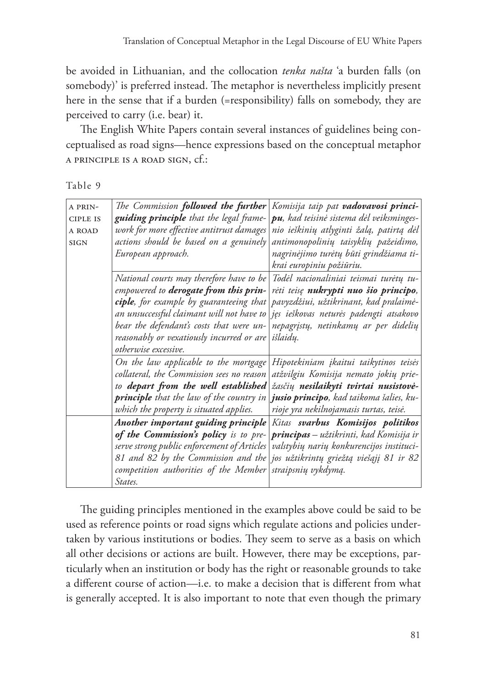be avoided in Lithuanian, and the collocation *tenka našta* 'a burden falls (on somebody)' is preferred instead. The metaphor is nevertheless implicitly present here in the sense that if a burden (=responsibility) falls on somebody, they are perceived to carry (i.e. bear) it.

The English White Papers contain several instances of guidelines being conceptualised as road signs—hence expressions based on the conceptual metaphor a principle is a road sign, cf.:

Table 9

| A PRIN-         | The Commission followed the further            | Komisija taip pat <b>vadovavosi princi-</b>    |
|-----------------|------------------------------------------------|------------------------------------------------|
| <b>CIPLE IS</b> | <b>guiding principle</b> that the legal frame- | pu, kad teisinė sistema dėl veiksminges-       |
| A ROAD          | work for more effective antitrust damages      | nio ieškinių atlyginti žalą, patirtą dėl       |
| <b>SIGN</b>     | actions should be based on a genuinely         | antimonopolinių taisyklių pažeidimo,           |
|                 | European approach.                             | nagrinėjimo turėtų būti grindžiama ti-         |
|                 |                                                | krai europiniu požiūriu.                       |
|                 | National courts may therefore have to be       | Todėl nacionaliniai teismai turėtų tu-         |
|                 | empowered to derogate from this prin-          | rėti teisę nukrypti nuo šio principo,          |
|                 | ciple, for example by guaranteeing that        | pavyzdžiui, užtikrinant, kad pralaimė-         |
|                 | an unsuccessful claimant will not have to      | jęs ieškovas neturės padengti atsakovo         |
|                 | bear the defendant's costs that were un-       | nepagrįstų, netinkamų ar per didelių           |
|                 | reasonably or vexatiously incurred or are      | išlaidų.                                       |
|                 | <i>otherwise</i> excessive.                    |                                                |
|                 | On the law applicable to the mortgage          | Hipotekiniam įkaitui taikytinos teisės         |
|                 | collateral, the Commission sees no reason      | atžvilgiu Komisija nemato jokių prie-          |
|                 | to depart from the well established            | žasčių nesilaikyti tvirtai nusistovė-          |
|                 | principle that the law of the country in       | jusio principo, kad taikoma šalies, ku-        |
|                 | which the property is situated applies.        | rioje yra nekilnojamasis turtas, teisė.        |
|                 | Another important guiding principle            | Kitas svarbus Komisijos politikos              |
|                 | of the Commission's policy is to pre-          | <b>principas</b> – užtikrinti, kad Komisija ir |
|                 | serve strong public enforcement of Articles    | valstybių narių konkurencijos instituci-       |
|                 | 81 and 82 by the Commission and the            | jos užtikrintų griežtą viešąjį 81 ir 82        |
|                 | competition authorities of the Member          | straipsnių vykdymą.                            |
|                 | States.                                        |                                                |

The guiding principles mentioned in the examples above could be said to be used as reference points or road signs which regulate actions and policies undertaken by various institutions or bodies. They seem to serve as a basis on which all other decisions or actions are built. However, there may be exceptions, particularly when an institution or body has the right or reasonable grounds to take a different course of action—i.e. to make a decision that is different from what is generally accepted. It is also important to note that even though the primary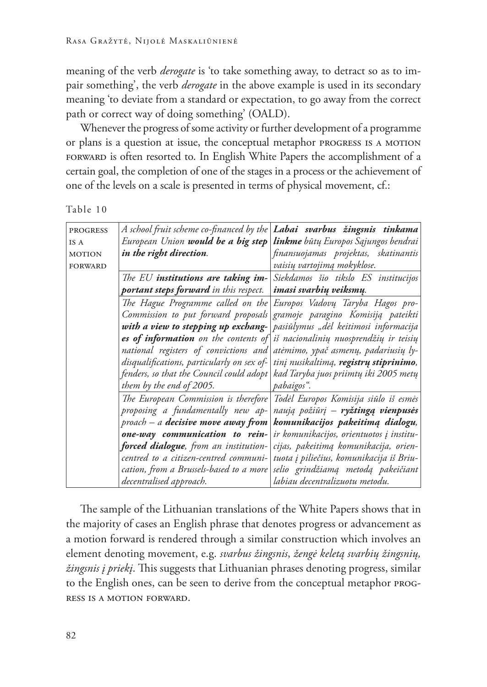meaning of the verb *derogate* is 'to take something away, to detract so as to impair something', the verb *derogate* in the above example is used in its secondary meaning 'to deviate from a standard or expectation, to go away from the correct path or correct way of doing something' (OALD).

Whenever the progress of some activity or further development of a programme or plans is a question at issue, the conceptual metaphor progress is a motion forward is often resorted to. In English White Papers the accomplishment of a certain goal, the completion of one of the stages in a process or the achievement of one of the levels on a scale is presented in terms of physical movement, cf.:

| <b>PROGRESS</b> | A school fruit scheme co-financed by the <b>Labai svarbus žingsnis tinkama</b>     |                                                                        |
|-----------------|------------------------------------------------------------------------------------|------------------------------------------------------------------------|
| IS A            | European Union <b>would be a big step</b>                                          | <b>linkme</b> būtų Europos Sąjungos bendrai                            |
| <b>MOTION</b>   | in the right direction.                                                            | finansuojamas projektas, skatinantis                                   |
| <b>FORWARD</b>  |                                                                                    | vaisių vartojimą mokyklose.                                            |
|                 | The EU institutions are taking im-                                                 | Siekdamos šio tikslo ES institucijos                                   |
|                 | <b>portant steps forward</b> in this respect.                                      | <i>imasi svarbių veiksmų.</i>                                          |
|                 |                                                                                    | The Hague Programme called on the Europos Vadovų Taryba Hagos pro-     |
|                 |                                                                                    | Commission to put forward proposals gramoje paragino Komisiją pateikti |
|                 | with a view to stepping up exchang- pasiulymus "del keitimosi informacija          |                                                                        |
|                 | <b>es of information</b> on the contents of is nacionaliniy nuosprendžių ir teisių |                                                                        |
|                 | national registers of convictions and atemimo, ypač asmenų, padariusių ly-         |                                                                        |
|                 | disqualifications, particularly on sex of-                                         | tinį nusikaltimą, registrų stiprinimo,                                 |
|                 | fenders, so that the Council could adopt   kad Taryba juos priimtų iki 2005 metų   |                                                                        |
|                 | them by the end of 2005.                                                           | pabaigos".                                                             |
|                 | The European Commission is therefore                                               | Todėl Europos Komisija siūlo iš esmės                                  |
|                 | proposing a fundamentally new ap-                                                  | naują požiūrį – ryžtingą vienpusės                                     |
|                 | $p$ roach – a <b>decisive move away from</b>                                       | komunikacijos pakeitimą dialogu,                                       |
|                 | one-way communication to rein-                                                     | ir komunikacijos, orientuotos į institu-                               |
|                 | forced dialogue, from an institution-                                              | cijas, pakeitimą komunikacija, orien-                                  |
|                 | centred to a citizen-centred communi-                                              | tuota į piliečius, komunikacija iš Briu-                               |
|                 | cation, from a Brussels-based to a more                                            | selio grindžiamą metodą pakeičiant                                     |
|                 | decentralised approach.                                                            | labiau decentralizuotu metodu.                                         |

The sample of the Lithuanian translations of the White Papers shows that in the majority of cases an English phrase that denotes progress or advancement as a motion forward is rendered through a similar construction which involves an element denoting movement, e.g. *svarbus žingsnis*, *žengė keletą svarbių žingsnių, žingsnis į priekį*. This suggests that Lithuanian phrases denoting progress, similar to the English ones, can be seen to derive from the conceptual metaphor progress is a motion forward.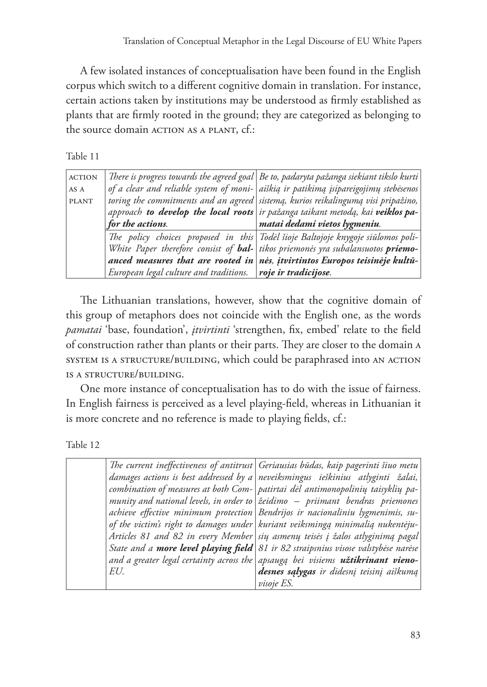A few isolated instances of conceptualisation have been found in the English corpus which switch to a different cognitive domain in translation. For instance, certain actions taken by institutions may be understood as firmly established as plants that are firmly rooted in the ground; they are categorized as belonging to the source domain ACTION AS A PLANT, cf.:

Table 11

| <b>ACTION</b> |                                                             | There is progress towards the agreed goal Be to, padaryta pažanga siekiant tikslo kurti |
|---------------|-------------------------------------------------------------|-----------------------------------------------------------------------------------------|
| AS A          |                                                             | of a clear and reliable system of moni- aiškią ir patikimą įsipareigojimų stebėsenos    |
| <b>PLANT</b>  |                                                             | toring the commitments and an agreed sistemą, kurios reikalingumą visi pripažino,       |
|               |                                                             | approach to develop the local roots ir pažanga taikant metodą, kai veiklos pa-          |
|               | for the actions.                                            | matai dedami vietos lygmeniu.                                                           |
|               |                                                             | The policy choices proposed in this Todel šioje Baltojoje knygoje siūlomos poli-        |
|               |                                                             | White Paper therefore consist of <b>bal-</b> tikos priemonės yra subalansuotos priemo-  |
|               |                                                             | anced measures that are rooted in nes, itvirtintos Europos teisinėje kultū-             |
|               | European legal culture and traditions. roje ir tradicijose. |                                                                                         |

The Lithuanian translations, however, show that the cognitive domain of this group of metaphors does not coincide with the English one, as the words *pamatai* 'base, foundation', *įtvirtinti* 'strengthen, fix, embed' relate to the field of construction rather than plants or their parts. They are closer to the domain a system is a structure/building, which could be paraphrased into an action is a structure/building.

One more instance of conceptualisation has to do with the issue of fairness. In English fairness is perceived as a level playing-field, whereas in Lithuanian it is more concrete and no reference is made to playing fields, cf.:

Table 12

|     | The current ineffectiveness of antitrust Geriausias būdas, kaip pagerinti šiuo metu    |
|-----|----------------------------------------------------------------------------------------|
|     | damages actions is best addressed by a neveiksmingus ieškinius atlyginti žalai,        |
|     | combination of measures at both Com- patirtai del antimonopolinių taisyklių pa-        |
|     | munity and national levels, in order to $\vec{z}$ eidimo – priimant bendras priemones  |
|     | achieve effective minimum protection Bendrijos ir nacionaliniu lygmenimis, su-         |
|     | of the victim's right to damages under kuriant veiksmingą minimalią nukentėju-         |
|     | Articles 81 and 82 in every Member sių asmenų teisės į žalos atlyginimą pagal          |
|     | State and a more level playing field 81 ir 82 straipsnius visose valstybėse narėse     |
|     | and a greater legal certainty across the apsauga bei visiems <b>užtikrinant vieno-</b> |
| EU. | desnes sąlygas ir didesnį teisinį aiškumą                                              |
|     | <i>visoje ES.</i>                                                                      |
|     |                                                                                        |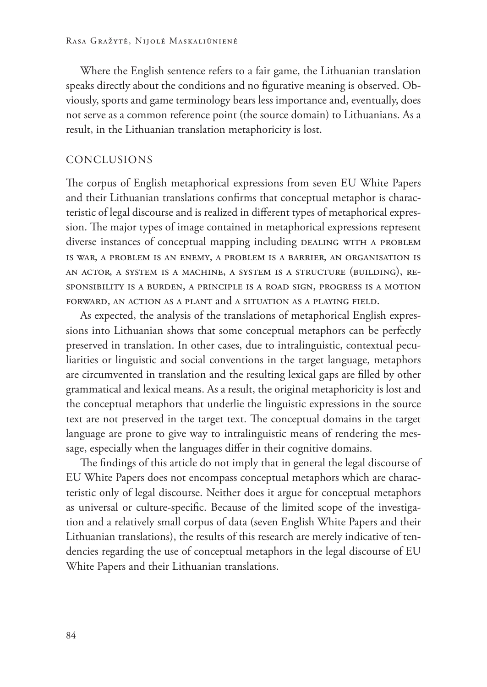Where the English sentence refers to a fair game, the Lithuanian translation speaks directly about the conditions and no figurative meaning is observed. Obviously, sports and game terminology bears less importance and, eventually, does not serve as a common reference point (the source domain) to Lithuanians. As a result, in the Lithuanian translation metaphoricity is lost.

## Conclusions

The corpus of English metaphorical expressions from seven EU White Papers and their Lithuanian translations confirms that conceptual metaphor is characteristic of legal discourse and is realized in different types of metaphorical expression. The major types of image contained in metaphorical expressions represent diverse instances of conceptual mapping including DEALING WITH A PROBLEM is war, a problem is an enemy, a problem is a barrier, an organisation is an actor, a system is a machine, a system is a structure (building), responsibility is a burden, a principle is a road sign, progress is a motion forward, an action as a plant and a situation as a playing field.

As expected, the analysis of the translations of metaphorical English expressions into Lithuanian shows that some conceptual metaphors can be perfectly preserved in translation. In other cases, due to intralinguistic, contextual peculiarities or linguistic and social conventions in the target language, metaphors are circumvented in translation and the resulting lexical gaps are filled by other grammatical and lexical means. As a result, the original metaphoricity is lost and the conceptual metaphors that underlie the linguistic expressions in the source text are not preserved in the target text. The conceptual domains in the target language are prone to give way to intralinguistic means of rendering the message, especially when the languages differ in their cognitive domains.

The findings of this article do not imply that in general the legal discourse of EU White Papers does not encompass conceptual metaphors which are characteristic only of legal discourse. Neither does it argue for conceptual metaphors as universal or culture-specific. Because of the limited scope of the investigation and a relatively small corpus of data (seven English White Papers and their Lithuanian translations), the results of this research are merely indicative of tendencies regarding the use of conceptual metaphors in the legal discourse of EU White Papers and their Lithuanian translations.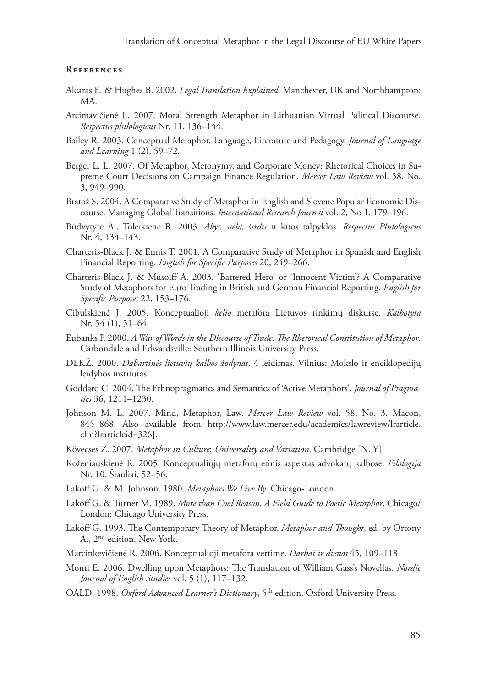### **References**

- Alcaras E. & Hughes B. 2002. *Legal Translation Explained*. Manchester, UK and Northhampton: MA.
- Arcimavičienė L. 2007. Moral Strength Metaphor in Lithuanian Virtual Political Discourse. *Respectus philologicus* Nr. 11, 136–144.
- Bailey R. 2003. Conceptual Metaphor, Language, Literature and Pedagogy. *Journal of Language and Learning* 1 (2), 59–72.
- Berger L. L. 2007. Of Metaphor, Metonymy, and Corporate Money: Rhetorical Choices in Supreme Court Decisions on Campaign Finance Regulation. *Mercer Law Review* vol. 58, No. 3, 949–990.
- Bratož S. 2004. A Comparative Study of Metaphor in English and Slovene Popular Economic Discourse. Managing Global Transitions. *International Research Journal* vol. 2, No 1, 179–196.
- Būdvytytė A., Toleikienė R. 2003. *Akys, siela, širdis* ir kitos talpyklos. *Respectus Philologicus* Nr. 4, 134–143.
- Charteris-Black J. & Ennis T. 2001. A Comparative Study of Metaphor in Spanish and English Financial Reporting. *English for Specific Purposes* 20, 249–266.
- Charteris-Black J. & Musolff A. 2003. 'Battered Hero' or 'Innocent Victim'? A Comparative Study of Metaphors for Euro Trading in British and German Financial Reporting. *English for Specific Purposes* 22, 153–176.
- Cibulskienė J. 2005. Konceptualioji *kelio* metafora Lietuvos rinkimų diskurse. *Kalbotyra* Nr. 54 (1), 51–64.
- Eubanks P. 2000. *A War of Words in the Discourse of Trade*. *The Rhetorical Constitution of Metaphor*. Carbondale and Edwardsville: Southern Illinois University Press.
- DLKŽ. 2000. *Dabartinės lietuvių kalbos žodynas*, 4 leidimas. Vilnius: Mokslo ir enciklopedijų leidybos institutas.
- Goddard C. 2004. The Ethnopragmatics and Semantics of 'Active Metaphors'. *Journal of Pragmatics* 36, 1211–1230.
- Johnson M. L. 2007. Mind, Metaphor, Law. *Mercer Law Review* vol. 58, No. 3. Macon, 845–868. Also available from http://www.law.mercer.edu/academics/lawreview/lrarticle. cfm?lrarticleid=326].
- Kövecses Z. 2007. *Metaphor in Culture*: *Universality and Variation*. Cambridge [N. Y].
- Koženiauskienė R. 2005. Konceptualiųjų metaforų etinis aspektas advokatų kalbose. *Filologija* Nr. 10. Šiauliai, 52–56.
- Lakoff G. & M. Johnson. 1980. *Metaphors We Live By*. Chicago-London.
- Lakoff G. & Turner M. 1989. *More than Cool Reason. A Field Guide to Poetic Metaphor*. Chicago/ London: Chicago University Press.
- Lakoff G. 1993. The Contemporary Theory of Metaphor. *Metaphor and Thought*, ed. by Ortony A., 2nd edition. New York.
- Marcinkevičienė R. 2006. Konceptualioji metafora vertime. *Darbai ir dienos* 45, 109–118.
- Monti E. 2006. Dwelling upon Metaphors: The Translation of William Gass's Novellas. *Nordic Journal of English Studies* vol. 5 (1), 117–132.
- OALD. 1998. Oxford Advanced Learner's Dictionary, 5<sup>th</sup> edition. Oxford University Press.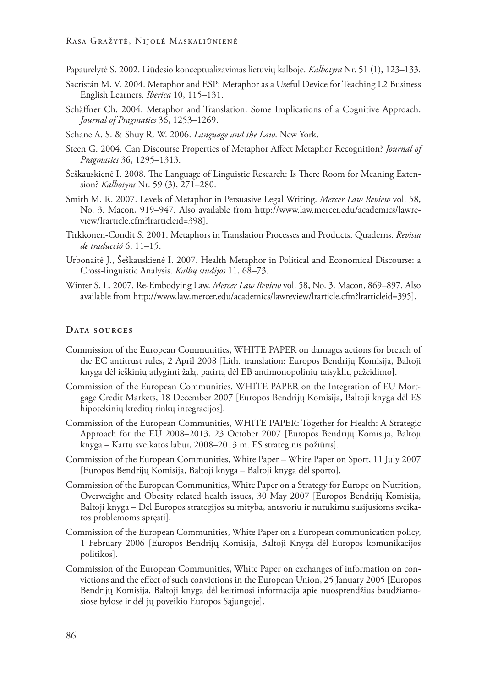- Papaurėlytė S. 2002. Liūdesio konceptualizavimas lietuvių kalboje. *Kalbotyra* Nr. 51 (1), 123–133.
- Sacristán M. V. 2004. Metaphor and ESP: Metaphor as a Useful Device for Teaching L2 Business English Learners. *Iberica* 10, 115–131.
- Schäffner Ch. 2004. Metaphor and Translation: Some Implications of a Cognitive Approach. *Journal of Pragmatics* 36, 1253–1269.
- Schane A. S. & Shuy R. W. 2006. *Language and the Law*. New York.
- Steen G. 2004. Can Discourse Properties of Metaphor Affect Metaphor Recognition? *Journal of Pragmatics* 36, 1295–1313.
- Šeškauskienė I. 2008. The Language of Linguistic Research: Is There Room for Meaning Extension? *Kalbotyra* Nr. 59 (3), 271–280.
- Smith M. R. 2007. Levels of Metaphor in Persuasive Legal Writing. *Mercer Law Review* vol. 58, No. 3. Macon, 919–947. Also available from http://www.law.mercer.edu/academics/lawreview/lrarticle.cfm?lrarticleid=398].
- Tirkkonen-Condit S. 2001. Metaphors in Translation Processes and Products. Quaderns. *Revista de traducció* 6, 11–15.
- Urbonaitė J., Šeškauskienė I. 2007. Health Metaphor in Political and Economical Discourse: a Cross-linguistic Analysis. *Kalbų studijos* 11, 68–73.
- Winter S. L. 2007. Re-Embodying Law. *Mercer Law Review* vol. 58, No. 3. Macon, 869–897. Also available from http://www.law.mercer.edu/academics/lawreview/lrarticle.cfm?lrarticleid=395].

### **Data sources**

- Commission of the European Communities, WHITE PAPER on damages actions for breach of the EC antitrust rules, 2 April 2008 [Lith. translation: Europos Bendrijų Komisija, Baltoji knyga dėl ieškinių atlyginti žalą, patirtą dėl EB antimonopolinių taisyklių pažeidimo].
- Commission of the European Communities, WHITE PAPER on the Integration of EU Mortgage Credit Markets, 18 December 2007 [Europos Bendrijų Komisija, Baltoji knyga dėl ES hipotekinių kreditų rinkų integracijos].
- Commission of the European Communities, WHITE PAPER: Together for Health: A Strategic Approach for the EU 2008–2013, 23 October 2007 [Europos Bendrijų Komisija, Baltoji knyga – Kartu sveikatos labui, 2008–2013 m. ES strateginis požiūris].
- Commission of the European Communities, White Paper White Paper on Sport, 11 July 2007 [Europos Bendrijų Komisija, Baltoji knyga – Baltoji knyga dėl sporto].
- Commission of the European Communities, White Paper on a Strategy for Europe on Nutrition, Overweight and Obesity related health issues, 30 May 2007 [Europos Bendrijų Komisija, Baltoji knyga – Dėl Europos strategijos su mityba, antsvoriu ir nutukimu susijusioms sveikatos problemoms spręsti].
- Commission of the European Communities, White Paper on a European communication policy, 1 February 2006 [Europos Bendrijų Komisija, Baltoji Knyga dėl Europos komunikacijos politikos].
- Commission of the European Communities, White Paper on exchanges of information on convictions and the effect of such convictions in the European Union, 25 January 2005 [Europos Bendrijų Komisija, Baltoji knyga dėl keitimosi informacija apie nuosprendžius baudžiamosiose bylose ir dėl jų poveikio Europos Sąjungoje].